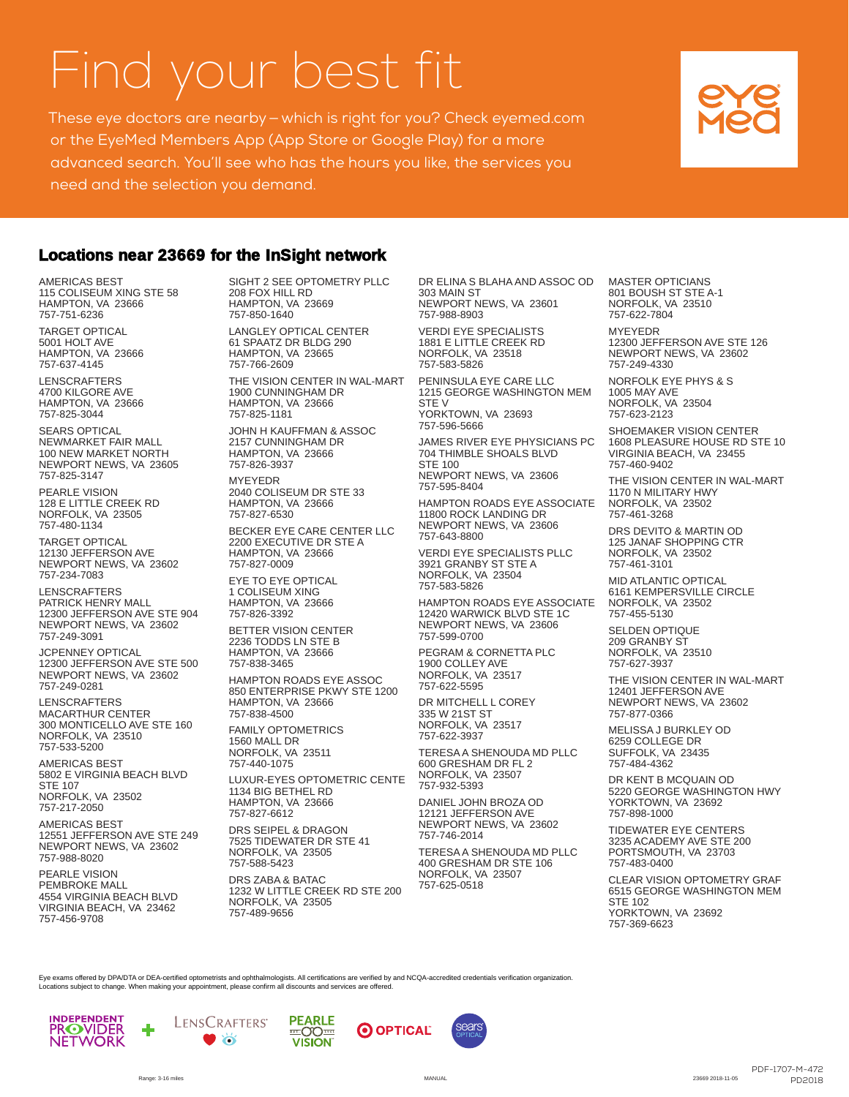## Find your best fit

These eye doctors are nearby—which is right for you? Check eyemed.com or the EyeMed Members App (App Store or Google Play) for a more advanced search. You'll see who has the hours you like, the services you need and the selection you demand.

## **Locations near 23669 for the InSight network**

AMERICAS BEST 115 COLISEUM XING STE 58 HAMPTON, VA 23666 757-751-6236

TARGET OPTICAL 5001 HOLT AVE HAMPTON, VA 23666 757-637-4145

LENSCRAFTERS 4700 KILGORE AVE HAMPTON, VA 23666 757-825-3044

SEARS OPTICAL NEWMARKET FAIR MALL 100 NEW MARKET NORTH NEWPORT NEWS, VA 23605 757-825-3147

PEARLE VISION 128 E LITTLE CREEK RD NORFOLK, VA 23505 757-480-1134

TARGET OPTICAL 12130 JEFFERSON AVE NEWPORT NEWS, VA 23602 757-234-7083

LENSCRAFTERS PATRICK HENRY MALL 12300 JEFFERSON AVE STE 904 NEWPORT NEWS, VA 23602 757-249-3091

JCPENNEY OPTICAL 12300 JEFFERSON AVE STE 500 NEWPORT NEWS, VA 23602 757-249-0281

LENSCRAFTERS MACARTHUR CENTER 300 MONTICELLO AVE STE 160 NORFOLK, VA 23510 757-533-5200

AMERICAS BEST 5802 E VIRGINIA BEACH BLVD STE 107 NORFOLK, VA 23502 757-217-2050

AMERICAS BEST 12551 JEFFERSON AVE STE 249 NEWPORT NEWS, VA 23602 757-988-8020

PEARLE VISION PEMBROKE MALL 4554 VIRGINIA BEACH BLVD VIRGINIA BEACH, VA 23462 757-456-9708

SIGHT 2 SEE OPTOMETRY PLLC 208 FOX HILL RD HAMPTON, VA 23669 757-850-1640

LANGLEY OPTICAL CENTER 61 SPAATZ DR BLDG 290 HAMPTON, VA 23665 757-766-2609

THE VISION CENTER IN WAL-MART 1900 CUNNINGHAM DR HAMPTON, VA 23666 757-825-1181

JOHN H KAUFFMAN & ASSOC 2157 CUNNINGHAM DR HAMPTON, VA 23666 757-826-3937

MYEYEDR 2040 COLISEUM DR STE 33 HAMPTON, VA 23666

757-827-6530 BECKER EYE CARE CENTER LLC 2200 EXECUTIVE DR STE A HAMPTON, VA 23666

757-827-0009 EYE TO EYE OPTICAL 1 COLISEUM XING HAMPTON, VA 23666 757-826-3392

BETTER VISION CENTER 2236 TODDS LN STE B HAMPTON, VA 23666 757-838-3465

HAMPTON ROADS EYE ASSOC 850 ENTERPRISE PKWY STE 1200 HAMPTON, VA 23666 757-838-4500

FAMILY OPTOMETRICS 1560 MALL DR NORFOLK, VA 23511

757-440-1075 LUXUR-EYES OPTOMETRIC CENTE 1134 BIG BETHEL RD HAMPTON, VA 23666 757-827-6612

DRS SEIPEL & DRAGON 7525 TIDEWATER DR STE 41 NORFOLK, VA 23505 757-588-5423

DRS ZABA & BATAC 1232 W LITTLE CREEK RD STE 200 NORFOLK, VA 23505 757-489-9656

DR ELINA S BLAHA AND ASSOC OD 303 MAIN ST NEWPORT NEWS, VA 23601 757-988-8903

VERDI EYE SPECIALISTS 1881 E LITTLE CREEK RD NORFOLK, VA 23518 757-583-5826

PENINSULA EYE CARE LLC 1215 GEORGE WASHINGTON MEM STE<sub>V</sub> YORKTOWN, VA 23693 757-596-5666

JAMES RIVER EYE PHYSICIANS PC

704 THIMBLE SHOALS BLVD STE 100 NEWPORT NEWS, VA 23606 757-595-8404

HAMPTON ROADS EYE ASSOCIATE 11800 ROCK LANDING DR NEWPORT NEWS, VA 23606 757-643-8800

VERDI EYE SPECIALISTS PLLC 3921 GRANBY ST STE A NORFOLK, VA 23504 757-583-5826

HAMPTON ROADS EYE ASSOCIATE 12420 WARWICK BLVD STE 1C NEWPORT NEWS, VA 23606 757-599-0700

PEGRAM & CORNETTA PLC 1900 COLLEY AVE NORFOLK, VA 23517 757-622-5595

DR MITCHELL L COREY 335 W 21ST ST NORFOLK, VA 23517 757-622-3937

TERESA A SHENOUDA MD PLLC 600 GRESHAM DR FL 2 NORFOLK, VA 23507

757-932-5393 DANIEL JOHN BROZA OD 12121 JEFFERSON AVE NEWPORT NEWS, VA 23602 757-746-2014

TERESA A SHENOUDA MD PLLC 400 GRESHAM DR STE 106 NORFOLK, VA 23507 757-625-0518

MASTER OPTICIANS 801 BOUSH ST STE A-1 NORFOLK, VA 23510 757-622-7804

MYEYEDR 12300 JEFFERSON AVE STE 126 NEWPORT NEWS, VA 23602 757-249-4330

NORFOLK EYE PHYS & S 1005 MAY AVE NORFOLK, VA 23504 757-623-2123

SHOEMAKER VISION CENTER 1608 PLEASURE HOUSE RD STE 10 VIRGINIA BEACH, VA 23455 757-460-9402

THE VISION CENTER IN WAL-MART 1170 N MILITARY HWY NORFOLK, VA 23502 757-461-3268

DRS DEVITO & MARTIN OD 125 JANAF SHOPPING CTR NORFOLK, VA 23502 757-461-3101

MID ATLANTIC OPTICAL 6161 KEMPERSVILLE CIRCLE NORFOLK, VA 23502 757-455-5130

SELDEN OPTIQUE 209 GRANBY ST NORFOLK, VA 23510 757-627-3937

THE VISION CENTER IN WAL-MART 12401 JEFFERSON AVE NEWPORT NEWS, VA 23602 757-877-0366

MELISSA J BURKLEY OD 6259 COLLEGE DR SUFFOLK, VA 23435 757-484-4362

DR KENT B MCQUAIN OD 5220 GEORGE WASHINGTON HWY YORKTOWN, VA 23692 757-898-1000

TIDEWATER EYE CENTERS 3235 ACADEMY AVE STE 200 PORTSMOUTH, VA 23703 757-483-0400

CLEAR VISION OPTOMETRY GRAF 6515 GEORGE WASHINGTON MEM STE 102 YORKTOWN, VA 23692 757-369-6623

Eye exams offered by DPA/DTA or DEA-certified optometrists and ophthalmologists. All certifications are verified by and NCQA-accredited credentials verification organization. Locations subject to change. When making your appointment, please confirm all discounts and services are offered.